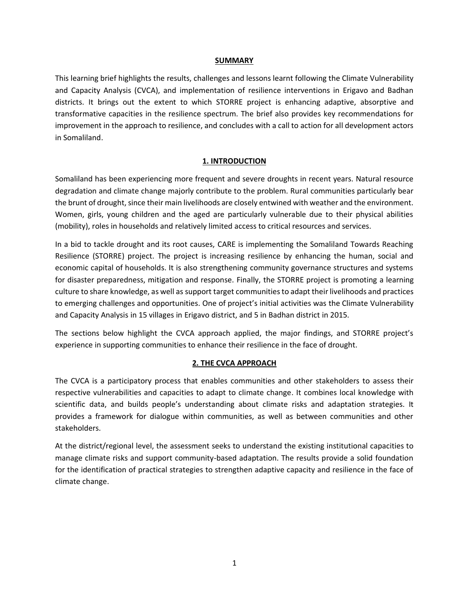#### **SUMMARY**

This learning brief highlights the results, challenges and lessons learnt following the Climate Vulnerability and Capacity Analysis (CVCA), and implementation of resilience interventions in Erigavo and Badhan districts. It brings out the extent to which STORRE project is enhancing adaptive, absorptive and transformative capacities in the resilience spectrum. The brief also provides key recommendations for improvement in the approach to resilience, and concludes with a call to action for all development actors in Somaliland.

## **1. INTRODUCTION**

Somaliland has been experiencing more frequent and severe droughts in recent years. Natural resource degradation and climate change majorly contribute to the problem. Rural communities particularly bear the brunt of drought, since their main livelihoods are closely entwined with weather and the environment. Women, girls, young children and the aged are particularly vulnerable due to their physical abilities (mobility), roles in households and relatively limited access to critical resources and services.

In a bid to tackle drought and its root causes, CARE is implementing the Somaliland Towards Reaching Resilience (STORRE) project. The project is increasing resilience by enhancing the human, social and economic capital of households. It is also strengthening community governance structures and systems for disaster preparedness, mitigation and response. Finally, the STORRE project is promoting a learning culture to share knowledge, as well as support target communities to adapt their livelihoods and practices to emerging challenges and opportunities. One of project's initial activities was the Climate Vulnerability and Capacity Analysis in 15 villages in Erigavo district, and 5 in Badhan district in 2015.

The sections below highlight the CVCA approach applied, the major findings, and STORRE project's experience in supporting communities to enhance their resilience in the face of drought.

## **2. THE CVCA APPROACH**

The CVCA is a participatory process that enables communities and other stakeholders to assess their respective vulnerabilities and capacities to adapt to climate change. It combines local knowledge with scientific data, and builds people's understanding about climate risks and adaptation strategies. It provides a framework for dialogue within communities, as well as between communities and other stakeholders.

At the district/regional level, the assessment seeks to understand the existing institutional capacities to manage climate risks and support community-based adaptation. The results provide a solid foundation for the identification of practical strategies to strengthen adaptive capacity and resilience in the face of climate change.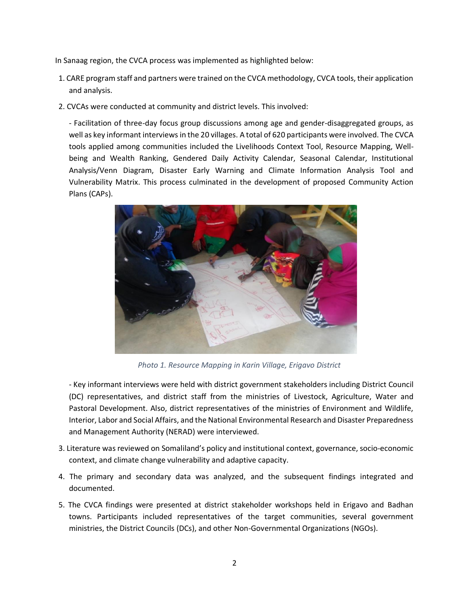In Sanaag region, the CVCA process was implemented as highlighted below:

- 1. CARE program staff and partners were trained on the CVCA methodology, CVCA tools, their application and analysis.
- 2. CVCAs were conducted at community and district levels. This involved:

- Facilitation of three-day focus group discussions among age and gender-disaggregated groups, as well as key informant interviews in the 20 villages. A total of 620 participants were involved. The CVCA tools applied among communities included the Livelihoods Context Tool, Resource Mapping, Wellbeing and Wealth Ranking, Gendered Daily Activity Calendar, Seasonal Calendar, Institutional Analysis/Venn Diagram, Disaster Early Warning and Climate Information Analysis Tool and Vulnerability Matrix. This process culminated in the development of proposed Community Action Plans (CAPs).



*Photo 1. Resource Mapping in Karin Village, Erigavo District*

- Key informant interviews were held with district government stakeholders including District Council (DC) representatives, and district staff from the ministries of Livestock, Agriculture, Water and Pastoral Development. Also, district representatives of the ministries of Environment and Wildlife, Interior, Labor and Social Affairs, and the National Environmental Research and Disaster Preparedness and Management Authority (NERAD) were interviewed.

- 3. Literature was reviewed on Somaliland's policy and institutional context, governance, socio-economic context, and climate change vulnerability and adaptive capacity.
- 4. The primary and secondary data was analyzed, and the subsequent findings integrated and documented.
- 5. The CVCA findings were presented at district stakeholder workshops held in Erigavo and Badhan towns. Participants included representatives of the target communities, several government ministries, the District Councils (DCs), and other Non-Governmental Organizations (NGOs).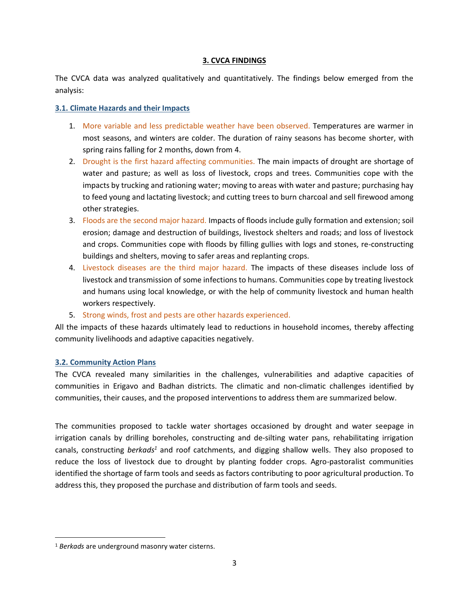#### **3. CVCA FINDINGS**

The CVCA data was analyzed qualitatively and quantitatively. The findings below emerged from the analysis:

#### **3.1. Climate Hazards and their Impacts**

- 1. More variable and less predictable weather have been observed. Temperatures are warmer in most seasons, and winters are colder. The duration of rainy seasons has become shorter, with spring rains falling for 2 months, down from 4.
- 2. Drought is the first hazard affecting communities. The main impacts of drought are shortage of water and pasture; as well as loss of livestock, crops and trees. Communities cope with the impacts by trucking and rationing water; moving to areas with water and pasture; purchasing hay to feed young and lactating livestock; and cutting trees to burn charcoal and sell firewood among other strategies.
- 3. Floods are the second major hazard. Impacts of floods include gully formation and extension; soil erosion; damage and destruction of buildings, livestock shelters and roads; and loss of livestock and crops. Communities cope with floods by filling gullies with logs and stones, re-constructing buildings and shelters, moving to safer areas and replanting crops.
- 4. Livestock diseases are the third major hazard. The impacts of these diseases include loss of livestock and transmission of some infections to humans. Communities cope by treating livestock and humans using local knowledge, or with the help of community livestock and human health workers respectively.
- 5. Strong winds, frost and pests are other hazards experienced.

All the impacts of these hazards ultimately lead to reductions in household incomes, thereby affecting community livelihoods and adaptive capacities negatively.

## **3.2. Community Action Plans**

The CVCA revealed many similarities in the challenges, vulnerabilities and adaptive capacities of communities in Erigavo and Badhan districts. The climatic and non-climatic challenges identified by communities, their causes, and the proposed interventions to address them are summarized below.

The communities proposed to tackle water shortages occasioned by drought and water seepage in irrigation canals by drilling boreholes, constructing and de-silting water pans, rehabilitating irrigation canals, constructing *berkads<sup>1</sup>* and roof catchments, and digging shallow wells. They also proposed to reduce the loss of livestock due to drought by planting fodder crops. Agro-pastoralist communities identified the shortage of farm tools and seeds as factors contributing to poor agricultural production. To address this, they proposed the purchase and distribution of farm tools and seeds.

l

<sup>1</sup> *Berkads* are underground masonry water cisterns.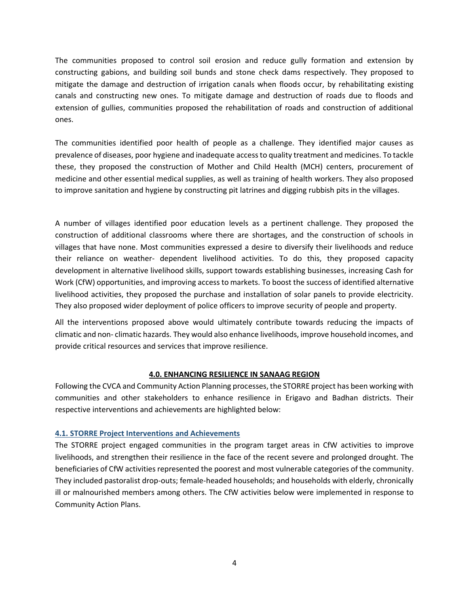The communities proposed to control soil erosion and reduce gully formation and extension by constructing gabions, and building soil bunds and stone check dams respectively. They proposed to mitigate the damage and destruction of irrigation canals when floods occur, by rehabilitating existing canals and constructing new ones. To mitigate damage and destruction of roads due to floods and extension of gullies, communities proposed the rehabilitation of roads and construction of additional ones.

The communities identified poor health of people as a challenge. They identified major causes as prevalence of diseases, poor hygiene and inadequate access to quality treatment and medicines. To tackle these, they proposed the construction of Mother and Child Health (MCH) centers, procurement of medicine and other essential medical supplies, as well as training of health workers. They also proposed to improve sanitation and hygiene by constructing pit latrines and digging rubbish pits in the villages.

A number of villages identified poor education levels as a pertinent challenge. They proposed the construction of additional classrooms where there are shortages, and the construction of schools in villages that have none. Most communities expressed a desire to diversify their livelihoods and reduce their reliance on weather- dependent livelihood activities. To do this, they proposed capacity development in alternative livelihood skills, support towards establishing businesses, increasing Cash for Work (CfW) opportunities, and improving access to markets. To boost the success of identified alternative livelihood activities, they proposed the purchase and installation of solar panels to provide electricity. They also proposed wider deployment of police officers to improve security of people and property.

All the interventions proposed above would ultimately contribute towards reducing the impacts of climatic and non- climatic hazards. They would also enhance livelihoods, improve household incomes, and provide critical resources and services that improve resilience.

## **4.0. ENHANCING RESILIENCE IN SANAAG REGION**

Following the CVCA and Community Action Planning processes, the STORRE project has been working with communities and other stakeholders to enhance resilience in Erigavo and Badhan districts. Their respective interventions and achievements are highlighted below:

## **4.1. STORRE Project Interventions and Achievements**

The STORRE project engaged communities in the program target areas in CfW activities to improve livelihoods, and strengthen their resilience in the face of the recent severe and prolonged drought. The beneficiaries of CfW activities represented the poorest and most vulnerable categories of the community. They included pastoralist drop-outs; female-headed households; and households with elderly, chronically ill or malnourished members among others. The CfW activities below were implemented in response to Community Action Plans.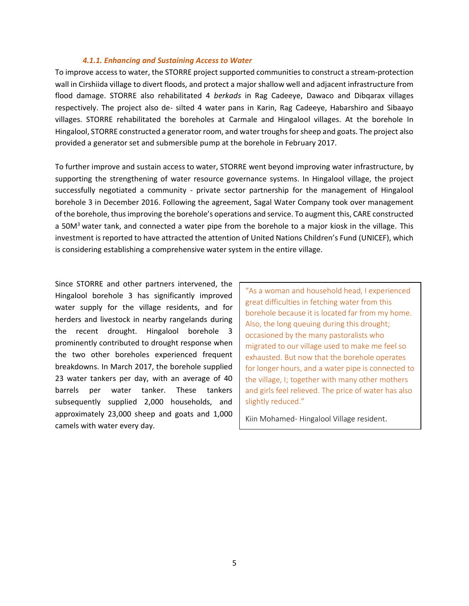#### *4.1.1. Enhancing and Sustaining Access to Water*

To improve access to water, the STORRE project supported communities to construct a stream-protection wall in Cirshiida village to divert floods, and protect a major shallow well and adjacent infrastructure from flood damage. STORRE also rehabilitated 4 *berkads* in Rag Cadeeye, Dawaco and Dibqarax villages respectively. The project also de- silted 4 water pans in Karin, Rag Cadeeye, Habarshiro and Sibaayo villages. STORRE rehabilitated the boreholes at Carmale and Hingalool villages. At the borehole In Hingalool, STORRE constructed a generator room, and water troughs for sheep and goats. The project also provided a generator set and submersible pump at the borehole in February 2017.

To further improve and sustain access to water, STORRE went beyond improving water infrastructure, by supporting the strengthening of water resource governance systems. In Hingalool village, the project successfully negotiated a community - private sector partnership for the management of Hingalool borehole 3 in December 2016. Following the agreement, Sagal Water Company took over management of the borehole, thus improving the borehole's operations and service. To augment this, CARE constructed a 50M<sup>3</sup> water tank, and connected a water pipe from the borehole to a major kiosk in the village. This investment is reported to have attracted the attention of United Nations Children's Fund (UNICEF), which is considering establishing a comprehensive water system in the entire village.

Since STORRE and other partners intervened, the Hingalool borehole 3 has significantly improved water supply for the village residents, and for herders and livestock in nearby rangelands during the recent drought. Hingalool borehole 3 prominently contributed to drought response when the two other boreholes experienced frequent breakdowns. In March 2017, the borehole supplied 23 water tankers per day, with an average of 40 barrels per water tanker. These tankers subsequently supplied 2,000 households, and approximately 23,000 sheep and goats and 1,000 camels with water every day.

"As a woman and household head, I experienced great difficulties in fetching water from this borehole because it is located far from my home. Also, the long queuing during this drought; occasioned by the many pastoralists who migrated to our village used to make me feel so exhausted. But now that the borehole operates for longer hours, and a water pipe is connected to the village, I; together with many other mothers and girls feel relieved. The price of water has also slightly reduced."

Kiin Mohamed- Hingalool Village resident.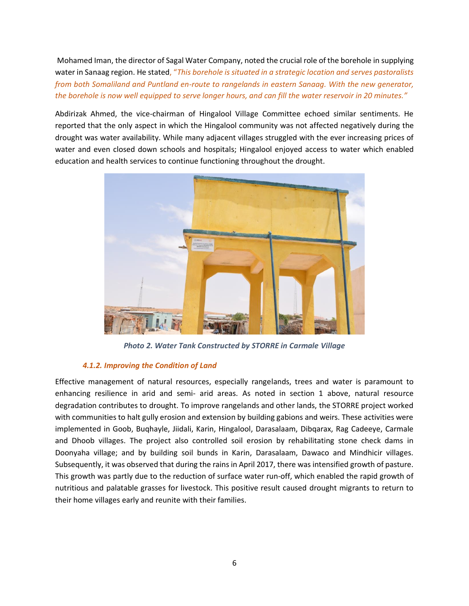Mohamed Iman, the director of Sagal Water Company, noted the crucial role of the borehole in supplying water in Sanaag region. He stated, "*This borehole is situated in a strategic location and serves pastoralists from both Somaliland and Puntland en-route to rangelands in eastern Sanaag. With the new generator, the borehole is now well equipped to serve longer hours, and can fill the water reservoir in 20 minutes."*

Abdirizak Ahmed, the vice-chairman of Hingalool Village Committee echoed similar sentiments. He reported that the only aspect in which the Hingalool community was not affected negatively during the drought was water availability. While many adjacent villages struggled with the ever increasing prices of water and even closed down schools and hospitals; Hingalool enjoyed access to water which enabled education and health services to continue functioning throughout the drought.



*Photo 2. Water Tank Constructed by STORRE in Carmale Village*

# *4.1.2. Improving the Condition of Land*

Effective management of natural resources, especially rangelands, trees and water is paramount to enhancing resilience in arid and semi- arid areas. As noted in section 1 above, natural resource degradation contributes to drought. To improve rangelands and other lands, the STORRE project worked with communities to halt gully erosion and extension by building gabions and weirs. These activities were implemented in Goob, Buqhayle, Jiidali, Karin, Hingalool, Darasalaam, Dibqarax, Rag Cadeeye, Carmale and Dhoob villages. The project also controlled soil erosion by rehabilitating stone check dams in Doonyaha village; and by building soil bunds in Karin, Darasalaam, Dawaco and Mindhicir villages. Subsequently, it was observed that during the rains in April 2017, there was intensified growth of pasture. This growth was partly due to the reduction of surface water run-off, which enabled the rapid growth of nutritious and palatable grasses for livestock. This positive result caused drought migrants to return to their home villages early and reunite with their families.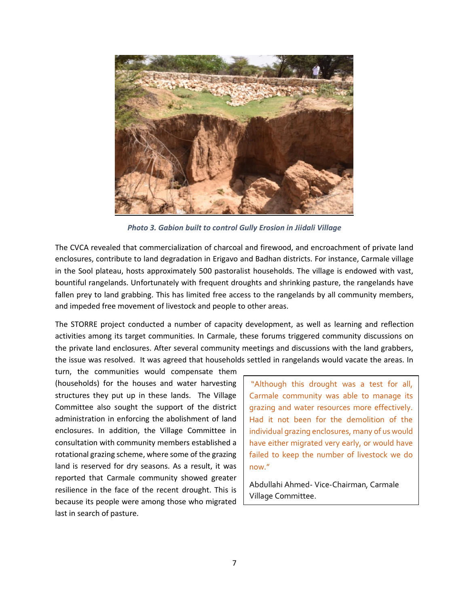

 *Photo 3. Gabion built to control Gully Erosion in Jiidali Village*

The CVCA revealed that commercialization of charcoal and firewood, and encroachment of private land enclosures, contribute to land degradation in Erigavo and Badhan districts. For instance, Carmale village in the Sool plateau, hosts approximately 500 pastoralist households. The village is endowed with vast, bountiful rangelands. Unfortunately with frequent droughts and shrinking pasture, the rangelands have fallen prey to land grabbing. This has limited free access to the rangelands by all community members, and impeded free movement of livestock and people to other areas.

The STORRE project conducted a number of capacity development, as well as learning and reflection activities among its target communities. In Carmale, these forums triggered community discussions on the private land enclosures. After several community meetings and discussions with the land grabbers, the issue was resolved. It was agreed that households settled in rangelands would vacate the areas. In

turn, the communities would compensate them (households) for the houses and water harvesting structures they put up in these lands. The Village Committee also sought the support of the district administration in enforcing the abolishment of land enclosures. In addition, the Village Committee in consultation with community members established a rotational grazing scheme, where some of the grazing land is reserved for dry seasons. As a result, it was reported that Carmale community showed greater resilience in the face of the recent drought. This is because its people were among those who migrated last in search of pasture.

"Although this drought was a test for all, Carmale community was able to manage its grazing and water resources more effectively. Had it not been for the demolition of the individual grazing enclosures, many of us would have either migrated very early, or would have failed to keep the number of livestock we do now."

Abdullahi Ahmed- Vice-Chairman, Carmale Village Committee.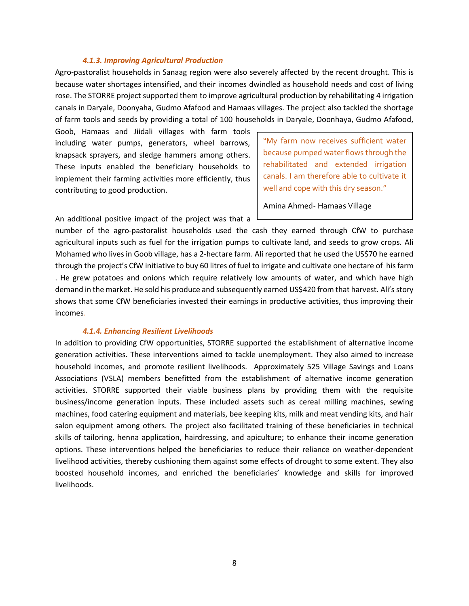#### *4.1.3. Improving Agricultural Production*

Agro-pastoralist households in Sanaag region were also severely affected by the recent drought. This is because water shortages intensified, and their incomes dwindled as household needs and cost of living rose. The STORRE project supported them to improve agricultural production by rehabilitating 4 irrigation canals in Daryale, Doonyaha, Gudmo Afafood and Hamaas villages. The project also tackled the shortage of farm tools and seeds by providing a total of 100 households in Daryale, Doonhaya, Gudmo Afafood,

Goob, Hamaas and Jiidali villages with farm tools including water pumps, generators, wheel barrows, knapsack sprayers, and sledge hammers among others. These inputs enabled the beneficiary households to implement their farming activities more efficiently, thus contributing to good production.

"My farm now receives sufficient water because pumped water flows through the rehabilitated and extended irrigation canals. I am therefore able to cultivate it well and cope with this dry season."

Amina Ahmed- Hamaas Village

An additional positive impact of the project was that a

number of the agro-pastoralist households used the cash they earned through CfW to purchase agricultural inputs such as fuel for the irrigation pumps to cultivate land, and seeds to grow crops. Ali Mohamed who lives in Goob village, has a 2-hectare farm. Ali reported that he used the US\$70 he earned through the project's CfW initiative to buy 60 litres of fuel to irrigate and cultivate one hectare of his farm . He grew potatoes and onions which require relatively low amounts of water, and which have high demand in the market. He sold his produce and subsequently earned US\$420 from that harvest. Ali's story shows that some CfW beneficiaries invested their earnings in productive activities, thus improving their incomes.

#### *4.1.4. Enhancing Resilient Livelihoods*

In addition to providing CfW opportunities, STORRE supported the establishment of alternative income generation activities. These interventions aimed to tackle unemployment. They also aimed to increase household incomes, and promote resilient livelihoods. Approximately 525 Village Savings and Loans Associations (VSLA) members benefitted from the establishment of alternative income generation activities. STORRE supported their viable business plans by providing them with the requisite business/income generation inputs. These included assets such as cereal milling machines, sewing machines, food catering equipment and materials, bee keeping kits, milk and meat vending kits, and hair salon equipment among others. The project also facilitated training of these beneficiaries in technical skills of tailoring, henna application, hairdressing, and apiculture; to enhance their income generation options. These interventions helped the beneficiaries to reduce their reliance on weather-dependent livelihood activities, thereby cushioning them against some effects of drought to some extent. They also boosted household incomes, and enriched the beneficiaries' knowledge and skills for improved livelihoods.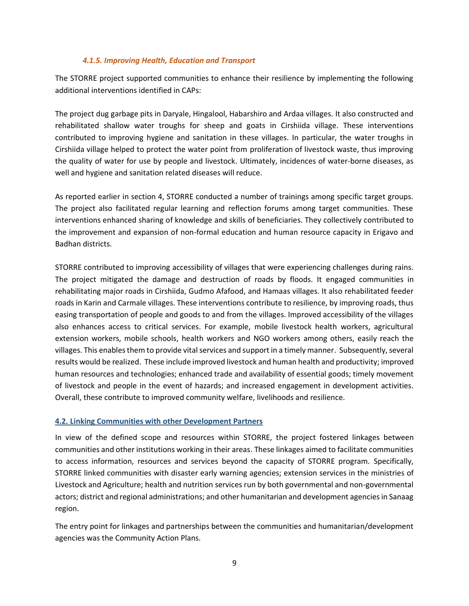#### *4.1.5. Improving Health, Education and Transport*

The STORRE project supported communities to enhance their resilience by implementing the following additional interventions identified in CAPs:

The project dug garbage pits in Daryale, Hingalool, Habarshiro and Ardaa villages. It also constructed and rehabilitated shallow water troughs for sheep and goats in Cirshiida village. These interventions contributed to improving hygiene and sanitation in these villages. In particular, the water troughs in Cirshiida village helped to protect the water point from proliferation of livestock waste, thus improving the quality of water for use by people and livestock. Ultimately, incidences of water-borne diseases, as well and hygiene and sanitation related diseases will reduce.

As reported earlier in section 4, STORRE conducted a number of trainings among specific target groups. The project also facilitated regular learning and reflection forums among target communities. These interventions enhanced sharing of knowledge and skills of beneficiaries. They collectively contributed to the improvement and expansion of non-formal education and human resource capacity in Erigavo and Badhan districts.

STORRE contributed to improving accessibility of villages that were experiencing challenges during rains. The project mitigated the damage and destruction of roads by floods. It engaged communities in rehabilitating major roads in Cirshiida, Gudmo Afafood, and Hamaas villages. It also rehabilitated feeder roads in Karin and Carmale villages. These interventions contribute to resilience, by improving roads, thus easing transportation of people and goods to and from the villages. Improved accessibility of the villages also enhances access to critical services. For example, mobile livestock health workers, agricultural extension workers, mobile schools, health workers and NGO workers among others, easily reach the villages. This enables them to provide vital services and support in a timely manner. Subsequently, several results would be realized. These include improved livestock and human health and productivity; improved human resources and technologies; enhanced trade and availability of essential goods; timely movement of livestock and people in the event of hazards; and increased engagement in development activities. Overall, these contribute to improved community welfare, livelihoods and resilience.

## **4.2. Linking Communities with other Development Partners**

In view of the defined scope and resources within STORRE, the project fostered linkages between communities and other institutions working in their areas. These linkages aimed to facilitate communities to access information, resources and services beyond the capacity of STORRE program. Specifically, STORRE linked communities with disaster early warning agencies; extension services in the ministries of Livestock and Agriculture; health and nutrition services run by both governmental and non-governmental actors; district and regional administrations; and other humanitarian and development agencies in Sanaag region.

The entry point for linkages and partnerships between the communities and humanitarian/development agencies was the Community Action Plans.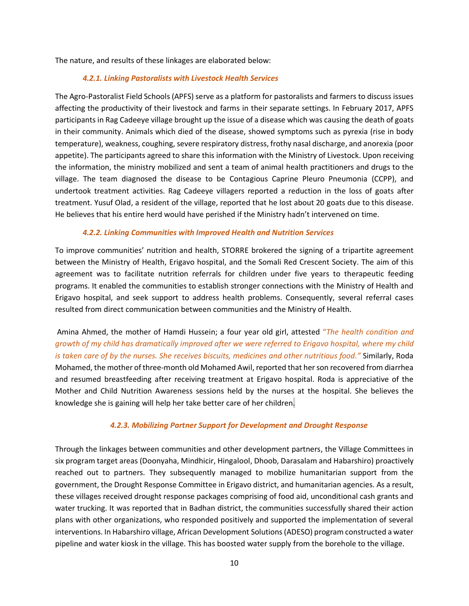The nature, and results of these linkages are elaborated below:

# *4.2.1. Linking Pastoralists with Livestock Health Services*

The Agro-Pastoralist Field Schools (APFS) serve as a platform for pastoralists and farmers to discuss issues affecting the productivity of their livestock and farms in their separate settings. In February 2017, APFS participants in Rag Cadeeye village brought up the issue of a disease which was causing the death of goats in their community. Animals which died of the disease, showed symptoms such as pyrexia (rise in body temperature), weakness, coughing, severe respiratory distress, frothy nasal discharge, and anorexia (poor appetite). The participants agreed to share this information with the Ministry of Livestock. Upon receiving the information, the ministry mobilized and sent a team of animal health practitioners and drugs to the village. The team diagnosed the disease to be Contagious Caprine Pleuro Pneumonia (CCPP), and undertook treatment activities. Rag Cadeeye villagers reported a reduction in the loss of goats after treatment. Yusuf Olad, a resident of the village, reported that he lost about 20 goats due to this disease. He believes that his entire herd would have perished if the Ministry hadn't intervened on time.

## *4.2.2. Linking Communities with Improved Health and Nutrition Services*

To improve communities' nutrition and health, STORRE brokered the signing of a tripartite agreement between the Ministry of Health, Erigavo hospital, and the Somali Red Crescent Society. The aim of this agreement was to facilitate nutrition referrals for children under five years to therapeutic feeding programs. It enabled the communities to establish stronger connections with the Ministry of Health and Erigavo hospital, and seek support to address health problems. Consequently, several referral cases resulted from direct communication between communities and the Ministry of Health.

Amina Ahmed, the mother of Hamdi Hussein; a four year old girl, attested "*The health condition and growth of my child has dramatically improved after we were referred to Erigavo hospital, where my child is taken care of by the nurses. She receives biscuits, medicines and other nutritious food."* Similarly, Roda Mohamed, the mother of three-month old Mohamed Awil, reported that her son recovered from diarrhea and resumed breastfeeding after receiving treatment at Erigavo hospital. Roda is appreciative of the Mother and Child Nutrition Awareness sessions held by the nurses at the hospital. She believes the knowledge she is gaining will help her take better care of her children.

## *4.2.3. Mobilizing Partner Support for Development and Drought Response*

Through the linkages between communities and other development partners, the Village Committees in six program target areas (Doonyaha, Mindhicir, Hingalool, Dhoob, Darasalam and Habarshiro) proactively reached out to partners. They subsequently managed to mobilize humanitarian support from the government, the Drought Response Committee in Erigavo district, and humanitarian agencies. As a result, these villages received drought response packages comprising of food aid, unconditional cash grants and water trucking. It was reported that in Badhan district, the communities successfully shared their action plans with other organizations, who responded positively and supported the implementation of several interventions. In Habarshiro village, African Development Solutions (ADESO) program constructed a water pipeline and water kiosk in the village. This has boosted water supply from the borehole to the village.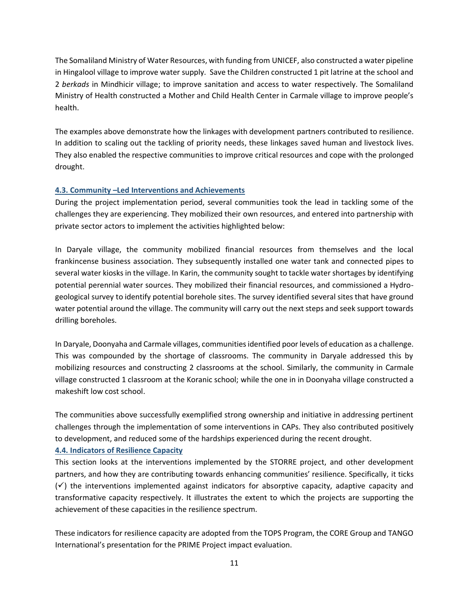The Somaliland Ministry of Water Resources, with funding from UNICEF, also constructed a water pipeline in Hingalool village to improve water supply. Save the Children constructed 1 pit latrine at the school and 2 *berkads* in Mindhicir village; to improve sanitation and access to water respectively. The Somaliland Ministry of Health constructed a Mother and Child Health Center in Carmale village to improve people's health.

The examples above demonstrate how the linkages with development partners contributed to resilience. In addition to scaling out the tackling of priority needs, these linkages saved human and livestock lives. They also enabled the respective communities to improve critical resources and cope with the prolonged drought.

# **4.3. Community –Led Interventions and Achievements**

During the project implementation period, several communities took the lead in tackling some of the challenges they are experiencing. They mobilized their own resources, and entered into partnership with private sector actors to implement the activities highlighted below:

In Daryale village, the community mobilized financial resources from themselves and the local frankincense business association. They subsequently installed one water tank and connected pipes to several water kiosks in the village. In Karin, the community sought to tackle water shortages by identifying potential perennial water sources. They mobilized their financial resources, and commissioned a Hydrogeological survey to identify potential borehole sites. The survey identified several sites that have ground water potential around the village. The community will carry out the next steps and seek support towards drilling boreholes.

In Daryale, Doonyaha and Carmale villages, communities identified poor levels of education as a challenge. This was compounded by the shortage of classrooms. The community in Daryale addressed this by mobilizing resources and constructing 2 classrooms at the school. Similarly, the community in Carmale village constructed 1 classroom at the Koranic school; while the one in in Doonyaha village constructed a makeshift low cost school.

The communities above successfully exemplified strong ownership and initiative in addressing pertinent challenges through the implementation of some interventions in CAPs. They also contributed positively to development, and reduced some of the hardships experienced during the recent drought.

## **4.4. Indicators of Resilience Capacity**

This section looks at the interventions implemented by the STORRE project, and other development partners, and how they are contributing towards enhancing communities' resilience. Specifically, it ticks  $(\checkmark)$  the interventions implemented against indicators for absorptive capacity, adaptive capacity and transformative capacity respectively. It illustrates the extent to which the projects are supporting the achievement of these capacities in the resilience spectrum.

These indicators for resilience capacity are adopted from the TOPS Program, the CORE Group and TANGO International's presentation for the PRIME Project impact evaluation.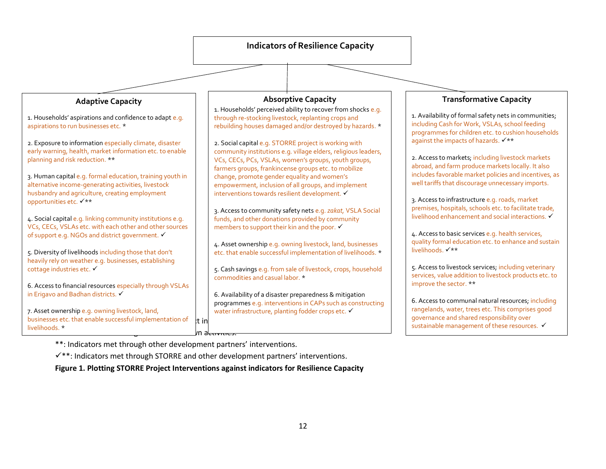# **Adaptive Capacity**

1. Households' aspirations and confidence to adapt e.g. aspirations to run businesses etc. \*

2. Exposure to information especially climate, disaster early warning, health, market information etc. to enable planning and risk reduction. \*\*

3. Human capital e.g. formal education, training youth in alternative income-generating activities, livestock husbandry and agriculture, creating employment opportunities etc. ✓\*\*

4. Social capital e.g. linking community institutions e.g. VCs, CECs, VSLAs etc. with each other and other sources of support e.g. NGOs and district government. ✔

5. Diversity of livelihoods including those that don't heavily rely on weather e.g. businesses, establishing cottage industries etc. ✓

6. Access to financial resources especially through VSLAs in Erigavo and Badhan districts. ✓

**Key** 7. Asset ownership e.g. owning livestock, land, businesses etc. that enable successful implementation of  $\frac{1}{\pi}$  in  $\frac{1}{2}$  or  $\frac{1}{2}$  or  $\frac{1}{2}$  or  $\frac{1}{2}$  or  $\frac{1}{2}$  or  $\frac{1}{2}$  or  $\frac{1}{2}$  or  $\frac{1}{2}$  or  $\frac{1}{2}$  or  $\frac{1}{2}$  or  $\frac{1}{2}$  or  $\frac{1}{2}$  or  $\frac{1}{2}$  or  $\frac{1}{2}$  or  $\frac{1}{2}$  or  $\frac{1}{2}$  or  $\frac{1}{2}$  or livelihoods. \*

# **Absorptive Capacity**

1. Households' perceived ability to recover from shocks e.g. through re-stocking livestock, replanting crops and rebuilding houses damaged and/or destroyed by hazards. \*

2. Social capital e.g. STORRE project is working with community institutions e.g. village elders, religious leaders, VCs, CECs, PCs, VSLAs, women's groups, youth groups, farmers groups, frankincense groups etc. to mobilize change, promote gender equality and women's empowerment, inclusion of all groups, and implement interventions towards resilient development. ✓

3. Access to community safety nets e.g. *zakat,* VSLA Social funds, and other donations provided by community members to support their kin and the poor.  $\checkmark$ 

4. Asset ownership e.g. owning livestock, land, businesses etc. that enable successful implementation of livelihoods. \*

5. Cash savings e.g. from sale of livestock, crops, household commodities and casual labor. \*

6. Availability of a disaster preparedness & mitigation programmes e.g. interventions in CAPs such as constructing water infrastructure, planting fodder crops etc. ✔

# **Transformative Capacity**

1. Availability of formal safety nets in communities; including Cash for Work, VSLAs, school feeding programmes for children etc. to cushion households against the impacts of hazards. ✓\*\*

2. Access to markets; including livestock markets abroad, and farm produce markets locally. It also includes favorable market policies and incentives, as well tariffs that discourage unnecessary imports.

3. Access to infrastructure e.g. roads, market premises, hospitals, schools etc. to facilitate trade, livelihood enhancement and social interactions. ✓

4. Access to basic services e.g. health services, quality formal education etc. to enhance and sustain livelihoods. ✓\*\*

5. Access to livestock services; including veterinary services, value addition to livestock products etc. to improve the sector. \*\*

6. Access to communal natural resources; including rangelands, water, trees etc. This comprises good governance and shared responsibility over sustainable management of these resources. ✔

\*\*: Indicators met through other development partners' interventions.

✓\*\*: Indicators met through STORRE and other development partners' interventions.

**Figure 1. Plotting STORRE Project Interventions against indicators for Resilience Capacity**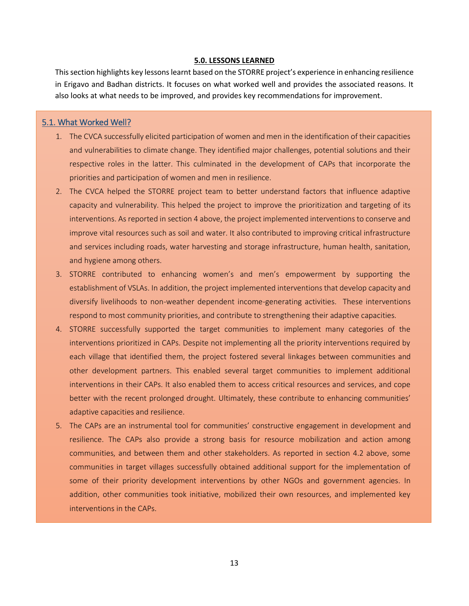#### **5.0. LESSONS LEARNED**

This section highlights key lessons learnt based on the STORRE project's experience in enhancing resilience in Erigavo and Badhan districts. It focuses on what worked well and provides the associated reasons. It also looks at what needs to be improved, and provides key recommendations for improvement.

#### 5.1. What Worked Well?

- 1. The CVCA successfully elicited participation of women and men in the identification of their capacities and vulnerabilities to climate change. They identified major challenges, potential solutions and their respective roles in the latter. This culminated in the development of CAPs that incorporate the priorities and participation of women and men in resilience.
- 2. The CVCA helped the STORRE project team to better understand factors that influence adaptive capacity and vulnerability. This helped the project to improve the prioritization and targeting of its interventions. As reported in section 4 above, the project implemented interventions to conserve and improve vital resources such as soil and water. It also contributed to improving critical infrastructure and services including roads, water harvesting and storage infrastructure, human health, sanitation, and hygiene among others.
- 3. STORRE contributed to enhancing women's and men's empowerment by supporting the establishment of VSLAs. In addition, the project implemented interventions that develop capacity and diversify livelihoods to non-weather dependent income-generating activities. These interventions respond to most community priorities, and contribute to strengthening their adaptive capacities.
- 4. STORRE successfully supported the target communities to implement many categories of the interventions prioritized in CAPs. Despite not implementing all the priority interventions required by each village that identified them, the project fostered several linkages between communities and other development partners. This enabled several target communities to implement additional interventions in their CAPs. It also enabled them to access critical resources and services, and cope better with the recent prolonged drought. Ultimately, these contribute to enhancing communities' adaptive capacities and resilience.
- 5. The CAPs are an instrumental tool for communities' constructive engagement in development and resilience. The CAPs also provide a strong basis for resource mobilization and action among communities, and between them and other stakeholders. As reported in section 4.2 above, some communities in target villages successfully obtained additional support for the implementation of some of their priority development interventions by other NGOs and government agencies. In addition, other communities took initiative, mobilized their own resources, and implemented key interventions in the CAPs.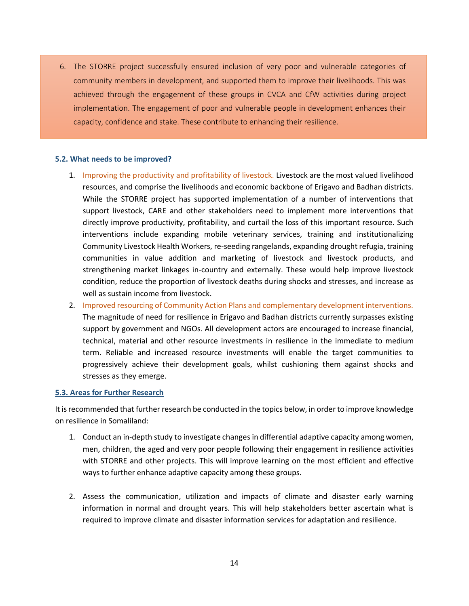6. The STORRE project successfully ensured inclusion of very poor and vulnerable categories of community members in development, and supported them to improve their livelihoods. This was achieved through the engagement of these groups in CVCA and CfW activities during project implementation. The engagement of poor and vulnerable people in development enhances their capacity, confidence and stake. These contribute to enhancing their resilience.

#### **5.2. What needs to be improved?**

- 1. Improving the productivity and profitability of livestock. Livestock are the most valued livelihood resources, and comprise the livelihoods and economic backbone of Erigavo and Badhan districts. While the STORRE project has supported implementation of a number of interventions that support livestock, CARE and other stakeholders need to implement more interventions that directly improve productivity, profitability, and curtail the loss of this important resource. Such interventions include expanding mobile veterinary services, training and institutionalizing Community Livestock Health Workers, re-seeding rangelands, expanding drought refugia, training communities in value addition and marketing of livestock and livestock products, and strengthening market linkages in-country and externally. These would help improve livestock condition, reduce the proportion of livestock deaths during shocks and stresses, and increase as well as sustain income from livestock.
- 2. Improved resourcing of Community Action Plans and complementary development interventions. The magnitude of need for resilience in Erigavo and Badhan districts currently surpasses existing support by government and NGOs. All development actors are encouraged to increase financial, technical, material and other resource investments in resilience in the immediate to medium term. Reliable and increased resource investments will enable the target communities to progressively achieve their development goals, whilst cushioning them against shocks and stresses as they emerge.

#### **5.3. Areas for Further Research**

It is recommended that further research be conducted in the topics below, in order to improve knowledge on resilience in Somaliland:

- 1. Conduct an in-depth study to investigate changes in differential adaptive capacity among women, men, children, the aged and very poor people following their engagement in resilience activities with STORRE and other projects. This will improve learning on the most efficient and effective ways to further enhance adaptive capacity among these groups.
- 2. Assess the communication, utilization and impacts of climate and disaster early warning information in normal and drought years. This will help stakeholders better ascertain what is required to improve climate and disaster information services for adaptation and resilience.